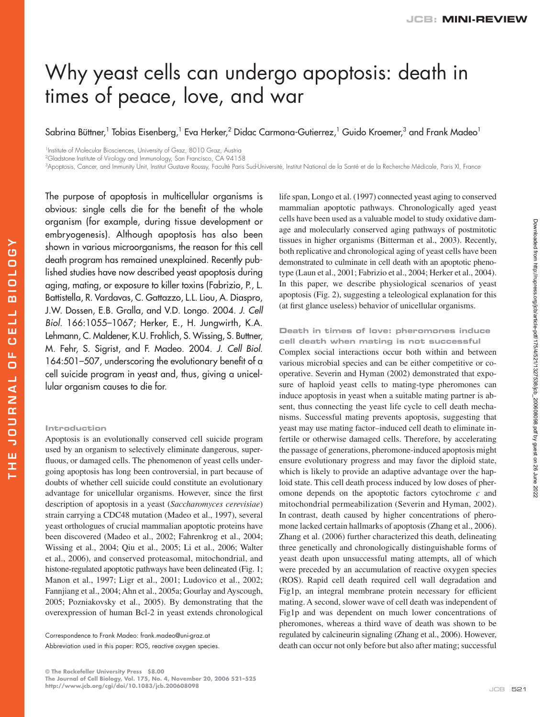# Why yeast cells can undergo apoptosis: death in times of peace, love, and war

Sabrina Büttner,<sup>1</sup> Tobias Eisenberg,<sup>1</sup> Eva Herker,<sup>2</sup> Didac Carmona-Gutierrez,<sup>1</sup> Guido Kroemer,<sup>3</sup> and Frank Madeo<sup>1</sup>

<sup>1</sup>Institute of Molecular Biosciences, University of Graz, 8010 Graz, Austria

<sup>2</sup>Gladstone Institute of Virology and Immunology, San Francisco, CA 94158

3 Apoptosis, Cancer, and Immunity Unit, Institut Gustave Roussy, Faculté Paris Sud-Université, Institut National de la Santé et de la Recherche Médicale, Paris XI, France

The purpose of apoptosis in multicellular organisms is obvious: single cells die for the benefit of the whole organism (for example, during tissue development or embryogenesis). Although apoptosis has also been shown in various microorganisms, the reason for this cell death program has remained unexplained. Recently published studies have now described yeast apoptosis during aging, mating, or exposure to killer toxins (Fabrizio, P., L. Battistella, R. Vardavas, C. Gattazzo, L.L. Liou, A. Diaspro, J.W. Dossen, E.B. Gralla, and V.D. Longo. 2004. J. Cell Biol. 166:1055–1067; Herker, E., H. Jungwirth, K.A. Lehmann, C. Maldener, K.U. Frohlich, S. Wissing, S. Buttner, M. Fehr, S. Sigrist, and F. Madeo. 2004. J. Cell Biol. 164:501-507, underscoring the evolutionary benefit of a cell suicide program in yeast and, thus, giving a unicellular organism causes to die for.

## **Introduction**

Apoptosis is an evolutionally conserved cell suicide program used by an organism to selectively eliminate dangerous, superfluous, or damaged cells. The phenomenon of yeast cells undergoing apoptosis has long been controversial, in part because of doubts of whether cell suicide could constitute an evolutionary advantage for unicellular organisms. However, since the first description of apoptosis in a yeast (*Saccharomyces cerevisiae*) strain carrying a CDC48 mutation (Madeo et al., 1997), several yeast orthologues of crucial mammalian apoptotic proteins have been discovered (Madeo et al., 2002; Fahrenkrog et al., 2004; Wissing et al., 2004; Qiu et al., 2005; Li et al., 2006; Walter et al., 2006), and conserved proteasomal, mitochondrial, and histone-regulated apoptotic pathways have been delineated (Fig. 1; Manon et al., 1997; Ligr et al., 2001; Ludovico et al., 2002; Fannjiang et al., 2004; Ahn et al., 2005a; Gourlay and Ayscough, 2005; Pozniakovsky et al., 2005). By demonstrating that the overexpression of human Bcl-2 in yeast extends chronological

Abbreviation used in this paper: ROS, reactive oxygen species.

life span, Longo et al. (1997) connected yeast aging to conserved mammalian apoptotic pathways. Chronologically aged yeast cells have been used as a valuable model to study oxidative damage and molecularly conserved aging pathways of postmitotic tissues in higher organisms (Bitterman et al., 2003). Recently, both replicative and chronological aging of yeast cells have been demonstrated to culminate in cell death with an apoptotic phenotype (Laun et al., 2001; Fabrizio et al., 2004; Herker et al., 2004). In this paper, we describe physiological scenarios of yeast apoptosis (Fig. 2), suggesting a teleological explanation for this (at first glance useless) behavior of unicellular organisms.

## **Death in times of love: pheromones induce cell death when mating is not successful**

Complex social interactions occur both within and between various microbial species and can be either competitive or cooperative. Severin and Hyman (2002) demonstrated that exposure of haploid yeast cells to mating-type pheromones can induce apoptosis in yeast when a suitable mating partner is absent, thus connecting the yeast life cycle to cell death mechanisms. Successful mating prevents apoptosis, suggesting that yeast may use mating factor–induced cell death to eliminate infertile or otherwise damaged cells. Therefore, by accelerating the passage of generations, pheromone-induced apoptosis might ensure evolutionary progress and may favor the diploid state, which is likely to provide an adaptive advantage over the haploid state. This cell death process induced by low doses of pheromone depends on the apoptotic factors cytochrome *c* and mitochondrial permeabilization (Severin and Hyman, 2002). In contrast, death caused by higher concentrations of pheromone lacked certain hallmarks of apoptosis (Zhang et al., 2006). Zhang et al. (2006) further characterized this death, delineating three genetically and chronologically distinguishable forms of yeast death upon unsuccessful mating attempts, all of which were preceded by an accumulation of reactive oxygen species (ROS). Rapid cell death required cell wall degradation and Fig1p, an integral membrane protein necessary for efficient mating. A second, slower wave of cell death was independent of Fig1p and was dependent on much lower concentrations of pheromones, whereas a third wave of death was shown to be regulated by calcineurin signaling (Zhang et al., 2006). However, death can occur not only before but also after mating; successful

Correspondence to Frank Madeo: frank.madeo@uni-graz.at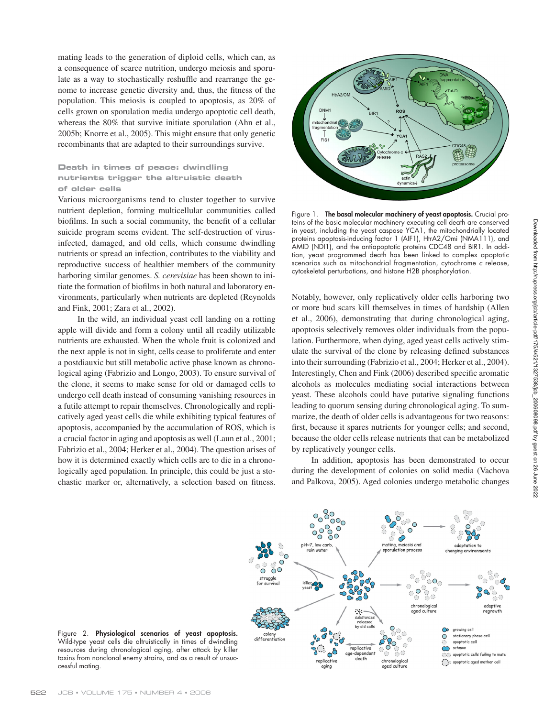mating leads to the generation of diploid cells, which can, as a consequence of scarce nutrition, undergo meiosis and sporulate as a way to stochastically reshuffle and rearrange the genome to increase genetic diversity and, thus, the fitness of the population. This meiosis is coupled to apoptosis, as 20% of cells grown on sporulation media undergo apoptotic cell death, whereas the 80% that survive initiate sporulation (Ahn et al., 2005b; Knorre et al., 2005). This might ensure that only genetic recombinants that are adapted to their surroundings survive.

# **Death in times of peace: dwindling nutrients trigger the altruistic death of older cells**

Various microorganisms tend to cluster together to survive nutrient depletion, forming multicellular communities called biofilms. In such a social community, the benefit of a cellular suicide program seems evident. The self-destruction of virusinfected, damaged, and old cells, which consume dwindling nutrients or spread an infection, contributes to the viability and reproductive success of healthier members of the community harboring similar genomes. *S. cerevisiae* has been shown to initiate the formation of biofilms in both natural and laboratory environments, particularly when nutrients are depleted (Reynolds and Fink, 2001; Zara et al., 2002).

In the wild, an individual yeast cell landing on a rotting apple will divide and form a colony until all readily utilizable nutrients are exhausted. When the whole fruit is colonized and the next apple is not in sight, cells cease to proliferate and enter a postdiauxic but still metabolic active phase known as chronological aging (Fabrizio and Longo, 2003). To ensure survival of the clone, it seems to make sense for old or damaged cells to undergo cell death instead of consuming vanishing resources in a futile attempt to repair themselves. Chronologically and replicatively aged yeast cells die while exhibiting typical features of apoptosis, accompanied by the accumulation of ROS, which is a crucial factor in aging and apoptosis as well (Laun et al., 2001; Fabrizio et al., 2004; Herker et al., 2004). The question arises of how it is determined exactly which cells are to die in a chronologically aged population. In principle, this could be just a stochastic marker or, alternatively, a selection based on fitness.



Figure 1. **The basal molecular machinery of yeast apoptosis.** Crucial proteins of the basic molecular machinery executing cell death are conserved in yeast, including the yeast caspase YCA1, the mitochondrially located proteins apoptosis-inducing factor 1 (AIF1), HtrA2/Omi (NMA111), and AMID (NDI1), and the antiapoptotic proteins CDC48 and BIR1. In addition, yeast programmed death has been linked to complex apoptotic scenarios such as mitochondrial fragmentation, cytochrome c release, cytoskeletal perturbations, and histone H2B phosphorylation.

Notably, however, only replicatively older cells harboring two or more bud scars kill themselves in times of hardship (Allen et al., 2006), demonstrating that during chronological aging, apoptosis selectively removes older individuals from the population. Furthermore, when dying, aged yeast cells actively stimulate the survival of the clone by releasing defined substances into their surrounding (Fabrizio et al., 2004; Herker et al., 2004). Interestingly, Chen and Fink (2006) described specific aromatic alcohols as molecules mediating social interactions between yeast. These alcohols could have putative signaling functions leading to quorum sensing during chronological aging. To summarize, the death of older cells is advantageous for two reasons: first, because it spares nutrients for younger cells; and second, because the older cells release nutrients that can be metabolized by replicatively younger cells.

In addition, apoptosis has been demonstrated to occur during the development of colonies on solid media (Vachova and Palkova, 2005). Aged colonies undergo metabolic changes



Figure 2. **Physiological scenarios of yeast apoptosis.**  Wild-type yeast cells die altruistically in times of dwindling resources during chronological aging, after attack by killer toxins from nonclonal enemy strains, and as a result of unsuccessful mating.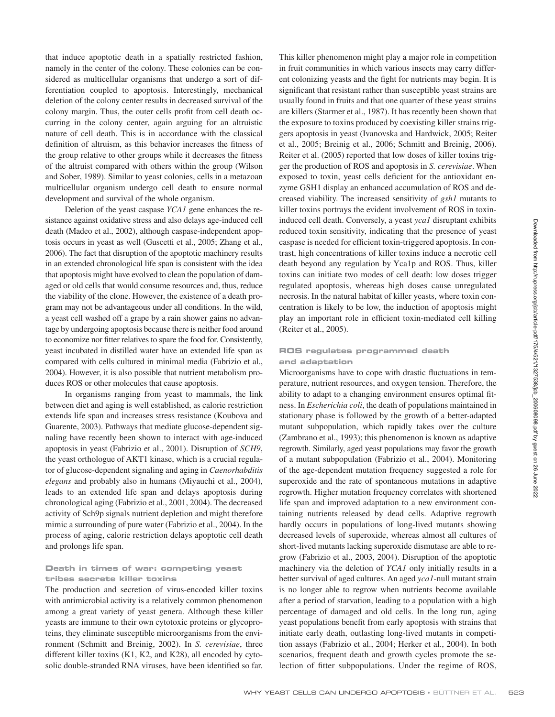that induce apoptotic death in a spatially restricted fashion, namely in the center of the colony. These colonies can be considered as multicellular organisms that undergo a sort of differentiation coupled to apoptosis. Interestingly, mechanical deletion of the colony center results in decreased survival of the colony margin. Thus, the outer cells profit from cell death occurring in the colony center, again arguing for an altruistic nature of cell death. This is in accordance with the classical definition of altruism, as this behavior increases the fitness of the group relative to other groups while it decreases the fitness of the altruist compared with others within the group (Wilson and Sober, 1989). Similar to yeast colonies, cells in a metazoan multicellular organism undergo cell death to ensure normal development and survival of the whole organism.

Deletion of the yeast caspase *YCA1* gene enhances the resistance against oxidative stress and also delays age-induced cell death (Madeo et al., 2002), although caspase-independent apoptosis occurs in yeast as well (Guscetti et al., 2005; Zhang et al., 2006). The fact that disruption of the apoptotic machinery results in an extended chronological life span is consistent with the idea that apoptosis might have evolved to clean the population of damaged or old cells that would consume resources and, thus, reduce the viability of the clone. However, the existence of a death program may not be advantageous under all conditions. In the wild, a yeast cell washed off a grape by a rain shower gains no advantage by undergoing apoptosis because there is neither food around to economize nor fitter relatives to spare the food for. Consistently, yeast incubated in distilled water have an extended life span as compared with cells cultured in minimal media (Fabrizio et al., 2004). However, it is also possible that nutrient metabolism produces ROS or other molecules that cause apoptosis.

In organisms ranging from yeast to mammals, the link between diet and aging is well established, as calorie restriction extends life span and increases stress resistance (Koubova and Guarente, 2003). Pathways that mediate glucose-dependent signaling have recently been shown to interact with age-induced apoptosis in yeast (Fabrizio et al., 2001). Disruption of *SCH9*, the yeast orthologue of AKT1 kinase, which is a crucial regulator of glucose-dependent signaling and aging in *Caenorhabditis elegans* and probably also in humans (Miyauchi et al., 2004), leads to an extended life span and delays apoptosis during chronological aging (Fabrizio et al., 2001, 2004). The decreased activity of Sch9p signals nutrient depletion and might therefore mimic a surrounding of pure water (Fabrizio et al., 2004). In the process of aging, calorie restriction delays apoptotic cell death and prolongs life span.

## **Death in times of war: competing yeast tribes secrete killer toxins**

The production and secretion of virus-encoded killer toxins with antimicrobial activity is a relatively common phenomenon among a great variety of yeast genera. Although these killer yeasts are immune to their own cytotoxic proteins or glycoproteins, they eliminate susceptible microorganisms from the environment (Schmitt and Breinig, 2002). In *S. cerevisiae*, three different killer toxins (K1, K2, and K28), all encoded by cytosolic double-stranded RNA viruses, have been identified so far.

This killer phenomenon might play a major role in competition in fruit communities in which various insects may carry different colonizing yeasts and the fight for nutrients may begin. It is significant that resistant rather than susceptible yeast strains are usually found in fruits and that one quarter of these yeast strains are killers (Starmer et al., 1987). It has recently been shown that the exposure to toxins produced by coexisting killer strains triggers apoptosis in yeast (Ivanovska and Hardwick, 2005; Reiter et al., 2005; Breinig et al., 2006; Schmitt and Breinig, 2006). Reiter et al. (2005) reported that low doses of killer toxins trigger the production of ROS and apoptosis in *S. cerevisiae*. When exposed to toxin, yeast cells deficient for the antioxidant enzyme GSH1 display an enhanced accumulation of ROS and decreased viability. The increased sensitivity of *gsh1* mutants to killer toxins portrays the evident involvement of ROS in toxininduced cell death. Conversely, a yeast *yca1* disruptant exhibits reduced toxin sensitivity, indicating that the presence of yeast caspase is needed for efficient toxin-triggered apoptosis. In contrast, high concentrations of killer toxins induce a necrotic cell death beyond any regulation by Yca1p and ROS. Thus, killer toxins can initiate two modes of cell death: low doses trigger regulated apoptosis, whereas high doses cause unregulated necrosis. In the natural habitat of killer yeasts, where toxin concentration is likely to be low, the induction of apoptosis might play an important role in efficient toxin-mediated cell killing (Reiter et al., 2005).

## **ROS regulates programmed death and adaptation**

Microorganisms have to cope with drastic fluctuations in temperature, nutrient resources, and oxygen tension. Therefore, the ability to adapt to a changing environment ensures optimal fitness. In *Escherichia coli*, the death of populations maintained in stationary phase is followed by the growth of a better-adapted mutant subpopulation, which rapidly takes over the culture (Zambrano et al., 1993); this phenomenon is known as adaptive regrowth. Similarly, aged yeast populations may favor the growth of a mutant subpopulation (Fabrizio et al., 2004). Monitoring of the age-dependent mutation frequency suggested a role for superoxide and the rate of spontaneous mutations in adaptive regrowth. Higher mutation frequency correlates with shortened life span and improved adaptation to a new environment containing nutrients released by dead cells. Adaptive regrowth hardly occurs in populations of long-lived mutants showing decreased levels of superoxide, whereas almost all cultures of short-lived mutants lacking superoxide dismutase are able to regrow (Fabrizio et al., 2003, 2004). Disruption of the apoptotic machinery via the deletion of *YCA1* only initially results in a better survival of aged cultures. An aged *yca1*-null mutant strain is no longer able to regrow when nutrients become available after a period of starvation, leading to a population with a high percentage of damaged and old cells. In the long run, aging yeast populations benefit from early apoptosis with strains that initiate early death, outlasting long-lived mutants in competition assays (Fabrizio et al., 2004; Herker et al., 2004). In both scenarios, frequent death and growth cycles promote the selection of fitter subpopulations. Under the regime of ROS,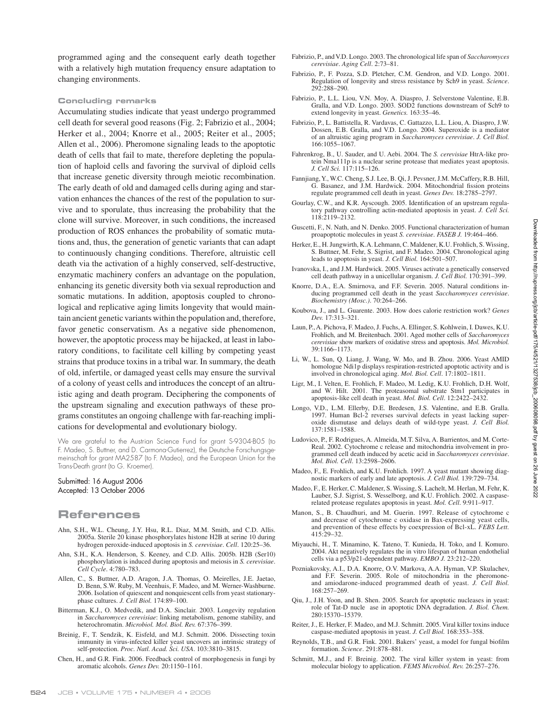programmed aging and the consequent early death together with a relatively high mutation frequency ensure adaptation to changing environments.

#### **Concluding remarks**

Accumulating studies indicate that yeast undergo programmed cell death for several good reasons (Fig. 2; Fabrizio et al., 2004; Herker et al., 2004; Knorre et al., 2005; Reiter et al., 2005; Allen et al., 2006). Pheromone signaling leads to the apoptotic death of cells that fail to mate, therefore depleting the population of haploid cells and favoring the survival of diploid cells that increase genetic diversity through meiotic recombination. The early death of old and damaged cells during aging and starvation enhances the chances of the rest of the population to survive and to sporulate, thus increasing the probability that the clone will survive. Moreover, in such conditions, the increased production of ROS enhances the probability of somatic mutations and, thus, the generation of genetic variants that can adapt to continuously changing conditions. Therefore, altruistic cell death via the activation of a highly conserved, self-destructive, enzymatic machinery confers an advantage on the population, enhancing its genetic diversity both via sexual reproduction and somatic mutations. In addition, apoptosis coupled to chronological and replicative aging limits longevity that would maintain ancient genetic variants within the population and, therefore, favor genetic conservatism. As a negative side phenomenon, however, the apoptotic process may be hijacked, at least in laboratory conditions, to facilitate cell killing by competing yeast strains that produce toxins in a tribal war. In summary, the death of old, infertile, or damaged yeast cells may ensure the survival of a colony of yeast cells and introduces the concept of an altruistic aging and death program. Deciphering the components of the upstream signaling and execution pathways of these programs constitutes an ongoing challenge with far-reaching implications for developmental and evolutionary biology.

We are grateful to the Austrian Science Fund for grant S-9304-B05 (to F. Madeo, S. Buttner, and D. Carmona-Gutierrez), the Deutsche Forschungsgemeinschaft for grant MA2587 (to F. Madeo), and the European Union for the Trans-Death grant (to G. Kroemer).

### Submitted: 16 August 2006 Accepted: 13 October 2006

# **References**

- Ahn, S.H., W.L. Cheung, J.Y. Hsu, R.L. Diaz, M.M. Smith, and C.D. Allis. 2005a. Sterile 20 kinase phosphorylates histone H2B at serine 10 during hydrogen peroxide-induced apoptosis in *S. cerevisiae*. *Cell*. 120:25–36.
- Ahn, S.H., K.A. Henderson, S. Keeney, and C.D. Allis. 2005b. H2B (Ser10) phosphorylation is induced during apoptosis and meiosis in *S. cerevisiae*. *Cell Cycle*. 4:780–783.
- Allen, C., S. Buttner, A.D. Aragon, J.A. Thomas, O. Meirelles, J.E. Jaetao, D. Benn, S.W. Ruby, M. Veenhuis, F. Madeo, and M. Werner-Washburne. 2006. Isolation of quiescent and nonquiescent cells from yeast stationaryphase cultures. *J. Cell Biol.* 174:89–100.
- Bitterman, K.J., O. Medvedik, and D.A. Sinclair. 2003. Longevity regulation in *Saccharomyces cerevisiae*: linking metabolism, genome stability, and heterochromatin. *Microbiol. Mol. Biol. Rev.* 67:376–399.
- Breinig, F., T. Sendzik, K. Eisfeld, and M.J. Schmitt. 2006. Dissecting toxin immunity in virus-infected killer yeast uncovers an intrinsic strategy of self-protection. *Proc. Natl. Acad. Sci. USA*. 103:3810–3815.
- Chen, H., and G.R. Fink. 2006. Feedback control of morphogenesis in fungi by aromatic alcohols. *Genes Dev.* 20:1150–1161.
- Fabrizio, P., and V.D. Longo. 2003. The chronological life span of *Saccharomyces cerevisiae*. *Aging Cell*. 2:73–81.
- Fabrizio, P., F. Pozza, S.D. Pletcher, C.M. Gendron, and V.D. Longo. 2001. Regulation of longevity and stress resistance by Sch9 in yeast. *Science*. 292:288–290.
- Fabrizio, P., L.L. Liou, V.N. Moy, A. Diaspro, J. Selverstone Valentine, E.B. Gralla, and V.D. Longo. 2003. SOD2 functions downstream of Sch9 to extend longevity in yeast. *Genetics.* 163:35–46.
- Fabrizio, P., L. Battistella, R. Vardavas, C. Gattazzo, L.L. Liou, A. Diaspro, J.W. Dossen, E.B. Gralla, and V.D. Longo. 2004. Superoxide is a mediator of an altruistic aging program in *Saccharomyces cerevisiae*. *J. Cell Biol.* 166:1055–1067.
- Fahrenkrog, B., U. Sauder, and U. Aebi. 2004. The *S. cerevisiae* HtrA-like protein Nma111p is a nuclear serine protease that mediates yeast apoptosis. *J. Cell Sci.* 117:115–126.
- Fannjiang, Y., W.C. Cheng, S.J. Lee, B. Qi, J. Pevsner, J.M. McCaffery, R.B. Hill, G. Basanez, and J.M. Hardwick. 2004. Mitochondrial fission proteins regulate programmed cell death in yeast. *Genes Dev.* 18:2785–2797.
- Gourlay, C.W., and K.R. Ayscough. 2005. Identification of an upstream regulatory pathway controlling actin-mediated apoptosis in yeast. *J. Cell Sci.* 118:2119–2132.
- Guscetti, F., N. Nath, and N. Denko. 2005. Functional characterization of human proapoptotic molecules in yeast *S. cerevisiae*. *FASEB J.* 19:464–466.
- Herker, E., H. Jungwirth, K.A. Lehmann, C. Maldener, K.U. Frohlich, S. Wissing, S. Buttner, M. Fehr, S. Sigrist, and F. Madeo. 2004. Chronological aging leads to apoptosis in yeast. *J. Cell Biol.* 164:501–507.
- Ivanovska, I., and J.M. Hardwick. 2005. Viruses activate a genetically conserved cell death pathway in a unicellular organism. *J. Cell Biol.* 170:391–399.
- Knorre, D.A., E.A. Smirnova, and F.F. Severin. 2005. Natural conditions inducing programmed cell death in the yeast *Saccharomyces cerevisiae*. *Biochemistry (Mosc.)*. 70:264–266.
- Koubova, J., and L. Guarente. 2003. How does calorie restriction work? *Genes Dev.* 17:313–321.
- Laun, P., A. Pichova, F. Madeo, J. Fuchs, A. Ellinger, S. Kohlwein, I. Dawes, K.U. Frohlich, and M. Breitenbach. 2001. Aged mother cells of *Saccharomyces cerevisiae* show markers of oxidative stress and apoptosis. *Mol. Microbiol.* 39:1166–1173.
- Li, W., L. Sun, Q. Liang, J. Wang, W. Mo, and B. Zhou. 2006. Yeast AMID homologue Ndi1p displays respiration-restricted apoptotic activity and is involved in chronological aging. *Mol. Biol. Cell*. 17:1802–1811.
- Ligr, M., I. Velten, E. Frohlich, F. Madeo, M. Ledig, K.U. Frohlich, D.H. Wolf, and W. Hilt. 2001. The proteasomal substrate Stm1 participates in apoptosis-like cell death in yeast. *Mol. Biol. Cell*. 12:2422–2432.
- Longo, V.D., L.M. Ellerby, D.E. Bredesen, J.S. Valentine, and E.B. Gralla. 1997. Human Bcl-2 reverses survival defects in yeast lacking superoxide dismutase and delays death of wild-type yeast. *J. Cell Biol.* 137:1581–1588.
- Ludovico, P., F. Rodrigues, A. Almeida, M.T. Silva, A. Barrientos, and M. Corte-Real. 2002. Cytochrome c release and mitochondria involvement in programmed cell death induced by acetic acid in *Saccharomyces cerevisiae*. *Mol. Biol. Cell*. 13:2598–2606.
- Madeo, F., E. Frohlich, and K.U. Frohlich. 1997. A yeast mutant showing diagnostic markers of early and late apoptosis. *J. Cell Biol.* 139:729–734.
- Madeo, F., E. Herker, C. Maldener, S. Wissing, S. Lachelt, M. Herlan, M. Fehr, K. Lauber, S.J. Sigrist, S. Wesselborg, and K.U. Frohlich. 2002. A caspaserelated protease regulates apoptosis in yeast. *Mol. Cell*. 9:911–917.
- Manon, S., B. Chaudhuri, and M. Guerin. 1997. Release of cytochrome c and decrease of cytochrome c oxidase in Bax-expressing yeast cells, and prevention of these effects by coexpression of Bcl-xL. *FEBS Lett.* 415:29–32.
- Miyauchi, H., T. Minamino, K. Tateno, T. Kunieda, H. Toko, and I. Komuro. 2004. Akt negatively regulates the in vitro lifespan of human endothelial cells via a p53/p21-dependent pathway. *EMBO J.* 23:212–220.
- Pozniakovsky, A.I., D.A. Knorre, O.V. Markova, A.A. Hyman, V.P. Skulachev, and F.F. Severin. 2005. Role of mitochondria in the pheromoneand amiodarone-induced programmed death of yeast. *J. Cell Biol.* 168:257–269.
- Qiu, J., J.H. Yoon, and B. Shen. 2005. Search for apoptotic nucleases in yeast: role of Tat-D nucle ase in apoptotic DNA degradation. *J. Biol. Chem.* 280:15370–15379.
- Reiter, J., E. Herker, F. Madeo, and M.J. Schmitt. 2005. Viral killer toxins induce caspase-mediated apoptosis in yeast. *J. Cell Biol.* 168:353–358.
- Reynolds, T.B., and G.R. Fink. 2001. Bakers' yeast, a model for fungal biofilm formation. *Science*. 291:878–881.
- Schmitt, M.J., and F. Breinig. 2002. The viral killer system in yeast: from molecular biology to application. *FEMS Microbiol. Rev.* 26:257–276.